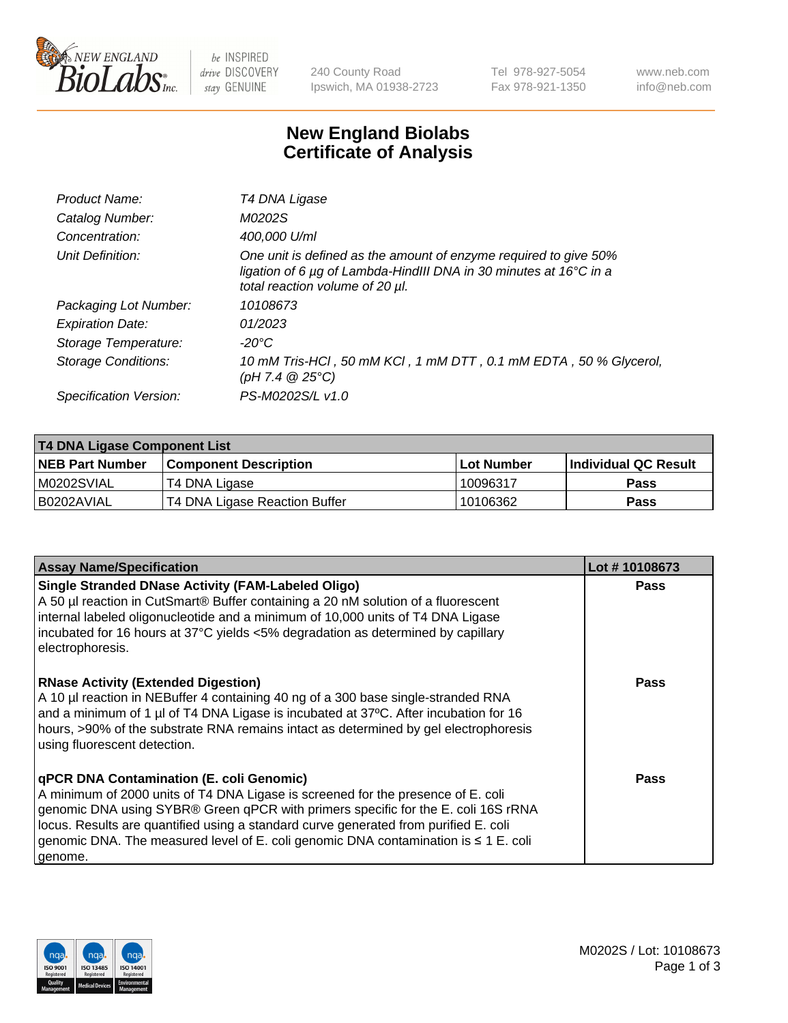

 $be$  INSPIRED drive DISCOVERY stay GENUINE

240 County Road Ipswich, MA 01938-2723 Tel 978-927-5054 Fax 978-921-1350 www.neb.com info@neb.com

## **New England Biolabs Certificate of Analysis**

| Product Name:              | T4 DNA Ligase                                                                                                                                                            |
|----------------------------|--------------------------------------------------------------------------------------------------------------------------------------------------------------------------|
| Catalog Number:            | M0202S                                                                                                                                                                   |
| Concentration:             | 400,000 U/ml                                                                                                                                                             |
| Unit Definition:           | One unit is defined as the amount of enzyme required to give 50%<br>ligation of 6 µg of Lambda-HindIII DNA in 30 minutes at 16°C in a<br>total reaction volume of 20 µl. |
| Packaging Lot Number:      | 10108673                                                                                                                                                                 |
| <b>Expiration Date:</b>    | 01/2023                                                                                                                                                                  |
| Storage Temperature:       | -20°C                                                                                                                                                                    |
| <b>Storage Conditions:</b> | 10 mM Tris-HCl, 50 mM KCl, 1 mM DTT, 0.1 mM EDTA, 50 % Glycerol,<br>(pH 7.4 $@25°C$ )                                                                                    |
| Specification Version:     | PS-M0202S/L v1.0                                                                                                                                                         |

| T4 DNA Ligase Component List |                               |              |                             |  |  |
|------------------------------|-------------------------------|--------------|-----------------------------|--|--|
| <b>NEB Part Number</b>       | <b>Component Description</b>  | l Lot Number | <b>Individual QC Result</b> |  |  |
| M0202SVIAL                   | T4 DNA Ligase                 | 10096317     | <b>Pass</b>                 |  |  |
| I B0202AVIAL                 | T4 DNA Ligase Reaction Buffer | 10106362     | <b>Pass</b>                 |  |  |

| <b>Assay Name/Specification</b>                                                                                                                                                                                                                                                                                                                                                                             | Lot #10108673 |
|-------------------------------------------------------------------------------------------------------------------------------------------------------------------------------------------------------------------------------------------------------------------------------------------------------------------------------------------------------------------------------------------------------------|---------------|
| <b>Single Stranded DNase Activity (FAM-Labeled Oligo)</b><br>A 50 µl reaction in CutSmart® Buffer containing a 20 nM solution of a fluorescent<br>internal labeled oligonucleotide and a minimum of 10,000 units of T4 DNA Ligase<br>incubated for 16 hours at 37°C yields <5% degradation as determined by capillary<br>electrophoresis.                                                                   | <b>Pass</b>   |
| <b>RNase Activity (Extended Digestion)</b><br>A 10 µl reaction in NEBuffer 4 containing 40 ng of a 300 base single-stranded RNA<br>and a minimum of 1 µl of T4 DNA Ligase is incubated at 37°C. After incubation for 16<br>hours, >90% of the substrate RNA remains intact as determined by gel electrophoresis<br>using fluorescent detection.                                                             | <b>Pass</b>   |
| qPCR DNA Contamination (E. coli Genomic)<br>A minimum of 2000 units of T4 DNA Ligase is screened for the presence of E. coli<br>genomic DNA using SYBR® Green qPCR with primers specific for the E. coli 16S rRNA<br>locus. Results are quantified using a standard curve generated from purified E. coli<br>genomic DNA. The measured level of E. coli genomic DNA contamination is ≤ 1 E. coli<br>genome. | Pass          |

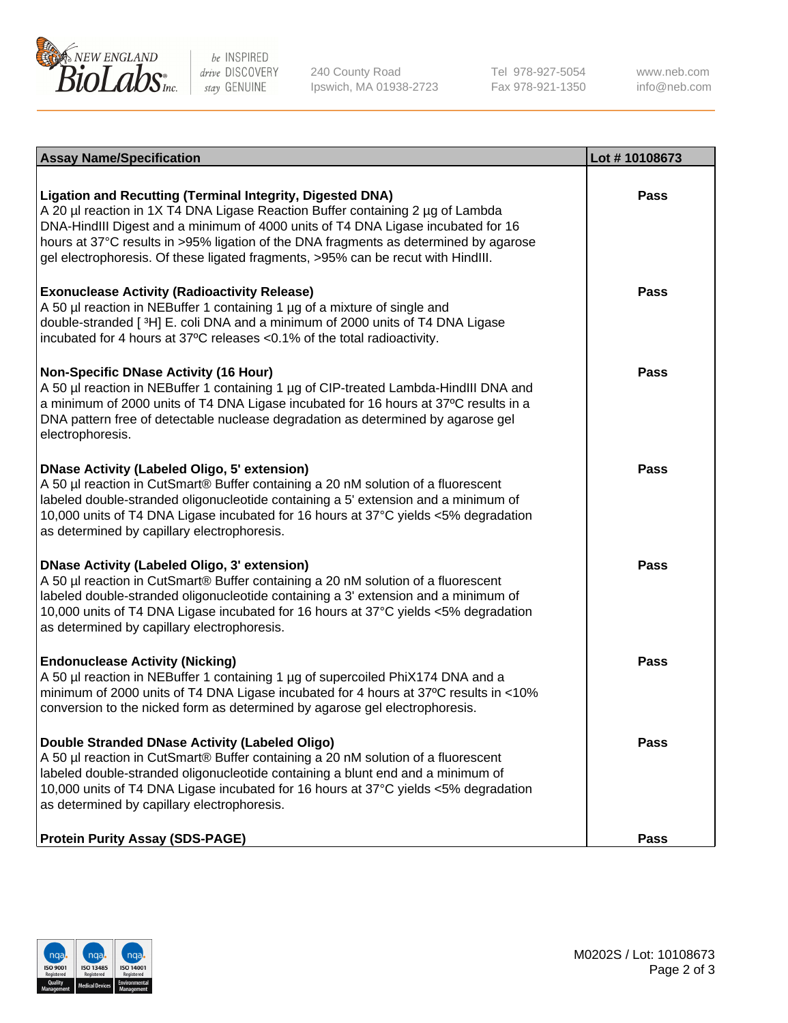

be INSPIRED drive DISCOVERY stay GENUINE

240 County Road Ipswich, MA 01938-2723 Tel 978-927-5054 Fax 978-921-1350

www.neb.com info@neb.com

| <b>Assay Name/Specification</b>                                                                                                                                                                                                                                                                                                                                                                                    | Lot #10108673 |
|--------------------------------------------------------------------------------------------------------------------------------------------------------------------------------------------------------------------------------------------------------------------------------------------------------------------------------------------------------------------------------------------------------------------|---------------|
| <b>Ligation and Recutting (Terminal Integrity, Digested DNA)</b><br>A 20 µl reaction in 1X T4 DNA Ligase Reaction Buffer containing 2 µg of Lambda<br>DNA-HindIII Digest and a minimum of 4000 units of T4 DNA Ligase incubated for 16<br>hours at 37°C results in >95% ligation of the DNA fragments as determined by agarose<br>gel electrophoresis. Of these ligated fragments, >95% can be recut with HindIII. | <b>Pass</b>   |
| <b>Exonuclease Activity (Radioactivity Release)</b><br>A 50 µl reaction in NEBuffer 1 containing 1 µg of a mixture of single and<br>double-stranded [3H] E. coli DNA and a minimum of 2000 units of T4 DNA Ligase<br>incubated for 4 hours at 37°C releases <0.1% of the total radioactivity.                                                                                                                      | <b>Pass</b>   |
| <b>Non-Specific DNase Activity (16 Hour)</b><br>A 50 µl reaction in NEBuffer 1 containing 1 µg of CIP-treated Lambda-HindIII DNA and<br>a minimum of 2000 units of T4 DNA Ligase incubated for 16 hours at 37°C results in a<br>DNA pattern free of detectable nuclease degradation as determined by agarose gel<br>electrophoresis.                                                                               | <b>Pass</b>   |
| <b>DNase Activity (Labeled Oligo, 5' extension)</b><br>A 50 µl reaction in CutSmart® Buffer containing a 20 nM solution of a fluorescent<br>labeled double-stranded oligonucleotide containing a 5' extension and a minimum of<br>10,000 units of T4 DNA Ligase incubated for 16 hours at 37°C yields <5% degradation<br>as determined by capillary electrophoresis.                                               | <b>Pass</b>   |
| <b>DNase Activity (Labeled Oligo, 3' extension)</b><br>A 50 µl reaction in CutSmart® Buffer containing a 20 nM solution of a fluorescent<br>labeled double-stranded oligonucleotide containing a 3' extension and a minimum of<br>10,000 units of T4 DNA Ligase incubated for 16 hours at 37°C yields <5% degradation<br>as determined by capillary electrophoresis.                                               | <b>Pass</b>   |
| <b>Endonuclease Activity (Nicking)</b><br>A 50 µl reaction in NEBuffer 1 containing 1 µg of supercoiled PhiX174 DNA and a<br>minimum of 2000 units of T4 DNA Ligase incubated for 4 hours at 37°C results in <10%<br>conversion to the nicked form as determined by agarose gel electrophoresis.                                                                                                                   | <b>Pass</b>   |
| Double Stranded DNase Activity (Labeled Oligo)<br>A 50 µl reaction in CutSmart® Buffer containing a 20 nM solution of a fluorescent<br>labeled double-stranded oligonucleotide containing a blunt end and a minimum of<br>10,000 units of T4 DNA Ligase incubated for 16 hours at 37°C yields <5% degradation<br>as determined by capillary electrophoresis.                                                       | <b>Pass</b>   |
| <b>Protein Purity Assay (SDS-PAGE)</b>                                                                                                                                                                                                                                                                                                                                                                             | <b>Pass</b>   |